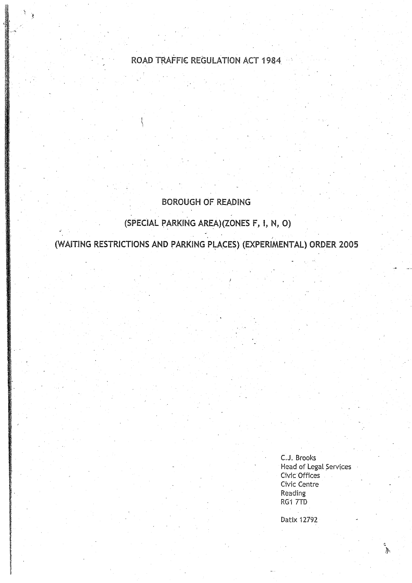# ROAD TRAFFIC REGULATION **ACT** I98

# **BOROUGH** OF READING

# (SPECIAL PARKING AREA)(ZONES F, 1, N, 0)

(WAITING RESTRICTIONS AND PARKING PLACES) (EXPERIMENTAL) ORDER 2005

C.J. Brooks Head of Legal Services Civic Offices Civic Centre

廖

Reading RGI 7TD

Datix 12792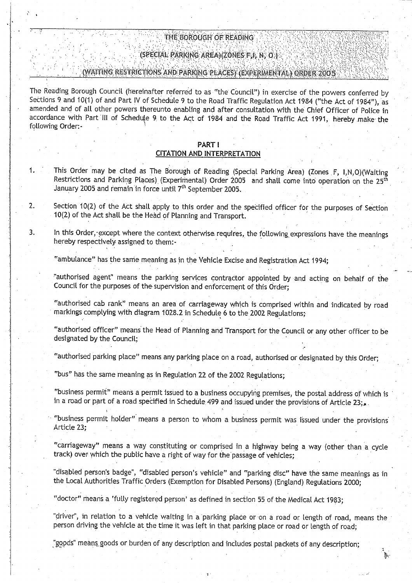# THE BOROUGH OF READING

# (Si?i=CIAL **<sup>P</sup>** A'R1f1NG **AR**E**A**)(Z**O**NES Fj**f**; 0 ~~.

# (WAITING RESTRICTIONS: AND PARKING PLACES) (EXPERIMENTAL) ORDER 2005

:,•

:r.,`i,~':~'.,~~

The Reading Borough Council (hereinafter referred to as "the Council") in exercise of the powers conferred by Sections 9 and 10(1) of and Part IV of Schedule 9 to the Road Traffic Regulation Act 1984 ("the Act of 1994"), as amended and of all other powers thereunto enabling and after consultation with the Chief Officer of Police in accordance with Part III of Schedule 9 to the Act of 1984 and the Road Traffic Act 1991, hereby make the following Order:-

### PART I

#### **CITATION AND INTERPRETATION**

- 1. This Order may be cited as The Borough of Reading (Special Parking Area) (Zones F, I,N,O) (Waiting Restrictions and Parking Places) (Experimental) Order 2005 and shall come into operation on the 25<sup>th</sup> January 2005 and remain in force until  $7<sup>th</sup>$  September 2005.
- 2. Section 10(2) of the Act shall apply to this order and the specified officer for the purposes of Section 10(2) of the Act shall be the Head of Planning and Transport.
- 3. In this Order,-except where the context otherwise requires, the following,expressions have the meanings hereby respectively assigned to them:-

"ambulance" has the same meaning as in the Vehicle Excise and Registration Act 1994;

"authorised agent" means the parking services contractor appointed by 'and acting on behalf of the Council for the purposes of the supervision and enforcement of this Order;

"authorised cab rank" means an area of carriageway which is comprised within and indicated by road markings complying with diagram 1028 .2 in Schedule 6 to the 2002 Regulations;

"authorised officer" means the Head of Planning and Transport for the Council or any other officer to be designated by the Council:

"authorised parking place" means any parking place on a road, authorised or designated by this Order;

"bus" has the same meaning as in Regulation 22 of the 2002 Regulations;

"business permit" means a permit issued to a business occupying premises, the postal address of which is in a road or part of a road specified in Schedule 499 and issued under the provisions of Article 23;<sup>\*</sup>.

"business permit holder" means a person to whom a business permit was issued under the provisions Article 23;

"carriageway" means a way constituting or comprised in a highway being a way (other than a cycle track) over which the public have a right of way for the passage of vehicles;

"disabled person's badge", "disabled person's vehicle" and "parking disc" have the same meanings as in the Local Authorities Traffic Orders (Exemption for Disabled. Persons) (England) Regulations 2000 ;

"doctor" means a `fully registered person' as defined in section 55 of-the Medical Act 1983;

"driver", in relation to a vehicle waiting in a 'parking plate or on a road or length of road, means the person driving the vehicle at the time it was left in that parking place or road or length of road;

"goods" means goods or burden of any description and includes postal packets of any description;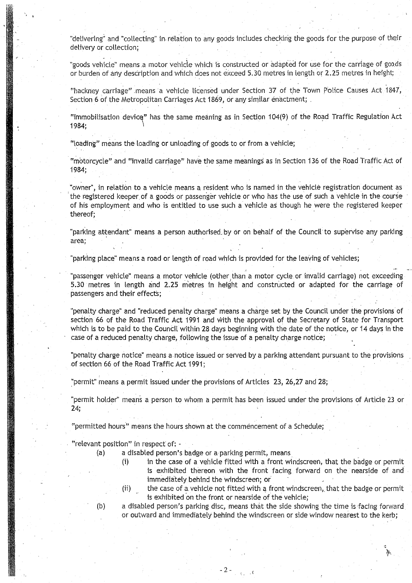"delivering" and "collecting" in- relation to any goods includes checking the goods *for* the purpose of their delivery or collection;

"goods vehicle" means a motor vehicle which is constructed or adapted for use for the carriage of goods or burden of any description and which does not exceed 5 .30 metres in length or 2 .25 metres in height;

"hackney carriage" means a vehicle licensed under Section 37 of the Town Police Causes Act 1847, Section 6 of the Metropolitan Carriages Act 1869, or any similar enactment;

"immobilisation device" **has the same meaning** as in Section 104(9) of the Road Traffic Regulation Act 1984;

**"loading" means the loading** or unloading of goods to or from a vehicle;

"motorcycle" and "invalid **carriage** " have the same meanings as in Section 136 of the Road Traffic Act of 1984;

"owner", in relation to a vehicle means a resident who is named in the vehicle registration document as the registered keeper, of a goods or passenger vehicle or who has the use of such a vehicle in the course, of his employment and who is entitled to use such a vehicle as though he were the registered keeper thereof;

parking attendant" **means** a person authorised by or on behalf of the Council to supervise any parking **area;**

"parking place" **means a road** or length of road which is provided for the leaving of vehicles;

**passenger** vehicle" means a motor vehicle (other than a motor cycle. or invalid carriage) not exceeding 5.30 metres **in length and** 2.25 metres in height and constructed or adapted for the carriage of **passengers** and their effects;

"penalty charge" and "reduced penalty charge" **means a charge** set by the Council under the provisions of section 66 of the Road Traffic Act 1991 and with the approval of the Secretary of State for Transport which is to be paid to the Council within 28 days beginning with the date of the notice, or 14 days in the case of a reduced penalty charge, following the issue of a penalty charge notice;

"penalty charge notice' means a. notice issued or served by a parking attendant pursuant to the provisions of section 66 of the Road Traffic Act 1991 ;

permit" **means** a permit issued under the provisions of Articles 23, 26,27 and 28 ;

"permit holder" means a person to whom a permit has been issued under the provisions of Article 23 or 24;

"permitted hours" means the hours shown at the commencement of a Schedule;

"relevant position" in respect' of:

- (a) a disabled person's badge or a parking permit, means
	- (i) in the case of a vehicle fitted with a front windscreen, that the badge or permit is exhibited thereon with the front facing forward on the nearside of and immediately behind the windscreen; or
	- (ii) the case of a vehicle not fitted with a front windscreen, that the badge or permit is exhibited on the front or nearside of the vehicle;
- (b) a disabled person's parking disc, means that the side showing the time is facing forward or outward and immediately behind the windscreen or side window nearest to the kerb;

 $-2 \frac{1}{2}$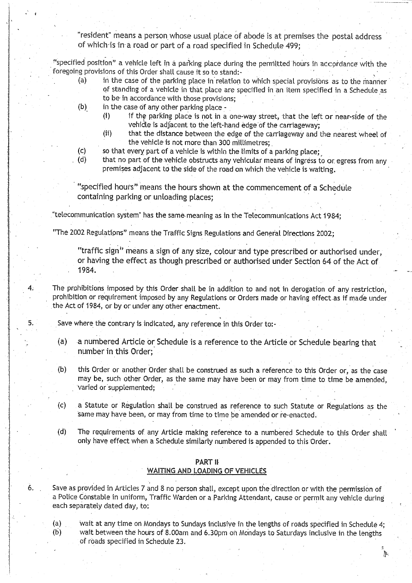"resident" means a person whose usual place of abode is at premises the postal address of which-is in a road or part of a road specified in Schedule 499;

!'specified position" a vehicle left in a parking place during the permitted-hours in accordance with the foregoing provisions of this Order shall cause it so to stand:-

- (a) in the case of the parking place in relation to which special provisions as. to the manner of standing of a vehicle in that place are specified in an item specified in a Schedule as to be in accordance with those provisions;
- $(b)$  in the case of any other parking place -
	- (i) if the parking place is not in a one-way street, that the left or near-side of the vehicle is adjacent to the left-hand edge of the carriageway;
	- (ii) that the distance between the edge of the carriageway and the nearest wheel of the vehicle is not more than 300 millimetres;
- (c) so that every part of a vehicle is within the limits of a parking place;<br>(d) that no part of the vehicle obstructs any vehicular means of ingress for
	- that no part of the vehicle obstructs any vehicular means of ingress to or egress from any premises adjacent to the side of the road on which the vehicle is waiting .

specified hours" means the hours shown at the commencement of a Schedule containing parking or unloading places;

"telecommunication system" has the same meaning as in the Telecommunications Act 1984;

"The 2002 Regulations" means the Traffic Signs Regulations and General Directions 2002 ;

"traffic sign" means a sign of any size, colour'and type prescribed or authorised under, or having the effect as though prescribed or authorised under Section 64 of the Act of 1984.

4. The prohibitions imposed by this Order shall be in addition to and not in derogation of any restriction, prohibition or requirement imposed by any Regulations or Orders made or having effect as if made under the Act of 1984, or by or under any other enactment.

5. Save where the contrary is indicated, any reference in this Order to:-

- (a) •a numbered Article or Schedule is a reference to the Article or Schedule bearing that number in this Order;
- (b) this Order or another Order shall be construed as such a reference to this Order or, as the case may be, such other Order, as the same may have been or may from time to time be amended, varied or supplemented;
- (c) a Statute or Regulation shall be construed as reference to such Statute or Regulations as the same may have been, or may from time to time be amended or re-enacted .
- (d) The requirements of any Article making reference to a numbered Schedule to this Order shall only have effect when a Schedule similarly numbered is appended to this 'Order .

#### PART **It** WAITING AND LOADING OF VEHICLES

<sup>6</sup> . . Save as provided in Articles 7 and 8 no person shall, except upon the direction or with the permission of a Police Constable in uniform, Traffic Warden or a Parking Attendant, cause or permit any vehicle during each separately dated day, to:

(a) wait at any time on Mondays to Sundays inclusive in the lengths of roads specified in Schedule 4;<br>(b) wait between the hours of 8.00am and 6.30pm on Mondays to Saturdays inclusive in the Lengths wait between the hours of 8.00am and 6.30pm on Mondays to Saturdays inclusive in the lengths of roads specified in Schedule 23 .

Þ.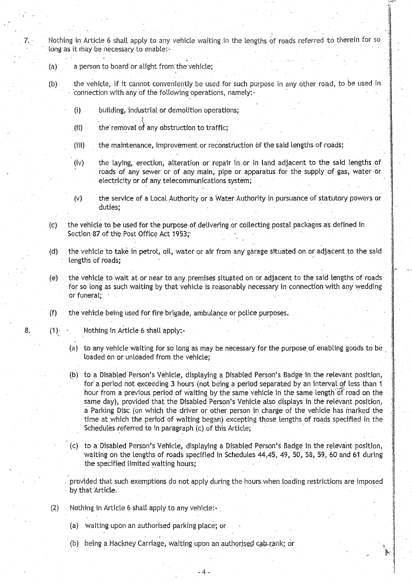7. Nothing in Article 6 shall apply to any vehicle waiting in the lengths of roads referred to therein for so long as it may be necessary to enable :-

- (a) a person to board or alight from-the vehicle;
- (b) the vehicle, if it cannot conveniently be used for such purpose in any other road, to be used in connection with any of the following operations, namely:
	- (i) building, industrial or demolition operations;
	- $(ii)$  the removal of any obstruction to traffic;
	- (iii) the maintenance, improvement or reconstruction of the said lengths of roads;
	- (iv). the laying, erection, alteration or repair in or in land adjacent to the said lengths of roads of any sewer or of any main, pipe or apparatus for the supply, of gas, water or electricity or of any. telecommunications system ;
	- (v) the service of a Local Authority or a Water Authority in pursuance of statutory powers or duties;
- (c) the vehicle to be used for the purpose of delivering or collecting postal packages as defined in Section 87 of the Post Office Act 1953;
- **(d)** the vehicle to take in petrol, oil, water or air from any garage situated on or adjacent to the said lengths of roads;
- (e) the vehicle to wait at or near to any premises situated on or adjacent to the said lengths of roads for so long as such waiting by that vehicle is reasonably necessary in connection with any wedding or funeral;
- (f) the vehicle being used for fire brigade, ambulance or police purposes .
- 8. (1) Nothing in Article 6 shall apply:
	- (a) to any vehicle Waiting for so long as may be necessary for the purpose of enabling goods to be loaded on or unloaded from the vehicle;
- the vehicle to wait at or near to any premises situated on or adjacent to the said lengths of roads<br>for so long as such waiting by that vehicle is reasonably necessary in connection with any wedding<br>or funeral;<br>the vehicle for a period not exceeding 3 hours (not being a period separated by an interval of less than 1 hour from a previous period of waiting by the same vehicle in the same length of road on the same day), provided that the Disabled Person's Vehicle also displays in the relevant position, a Parking Disc (on which the driver or other person in charge of the vehicle has marked the time at which the period of waiting began) excepting those lengths of roads specified in the Schedules referred to in paragraph (c) of this Article; Saine day), picology that the bisabled Person's yentice also displays in<br>a Parking Disc (on which the driver or other person in charge of the<br>time at which the period of waiting began) excepting those lengths of<br>Schedules
	- (c) to a Disabled Person's Vehicle., displaying a Disabled Person's Badge in the relevant position, waiting on the lengths of roads specified in Schedules 44,45, 49, 50, 58, 59, 60 and 61 during the specified limited waiting hours;
	- provided that such exemptions do not apply during the hours when loading restrictions are imposed by that Article.

7

- - (a) waiting upon an authorised parking place; or
	- (b) being a Hackney Carriage, waiting upon an authorised cab.rank; or

-4-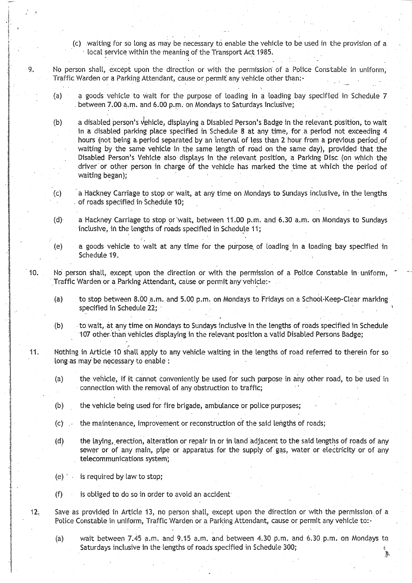- (c) waiting for so tong as may be necessary to enable the vehicle to be used in the provision of a local service within the meaning of the Transport Act 1985.
- 9. No person shalt, except upon the direction or with the permission of a Police Constable in uniform, Traffic Warden or a Parking Attendant, cause or permit any vehicle other than:-
	- (a) a goods vehicle to wait for the purpose of loading in a loading bay specified in Schedule 7 between 7.00 a.m. and 6.00 p.m. on Mondays to Saturdays inclusive;
	- (b) a disabled person's vehicle, displaying a Disabled Person's Badge in the relevant position, to wait in a disabled parking place specified in Schedule 8 at any time, for a period not exceeding  $4$ hours (not being a period separated by an interval of less than 2 hour from a previous period of waiting by the same vehicle in the same length of road on the same day), provided that the Disabled Person's Vehicle also displays in the relevant position, a Parking Disc. (on which the driver or other person in charge of the vehicle has marked the time at which the period of waiting began);
	- (c) a Hackney Carriage to stop or wait, at any time on Mondays to Sundays inclusive, in the lengths of roads specified in Schedule 10;
	- (d) a Hackney Carriage to stop or'wait, between 11 .00 p.m. and 6.30 a.m . on Mondays to Sundays inclusive, in the lengths of roads specified in Schedule 11;
	- (e) a goods vehicle to wait at any time for the purpose, of Loading in a loading bay specified in Schedule **19 .**
- 10 . No person shalt, except upon the direction or with the permission of a Police Constable in uniform, Traffic Warden or a Parking Attendant, cause or permit any vehicle:-
	- (a) to stop between 8.00 a.m. and 5.00 p.m. on Mondays to Fridays on a School-Keep-Clear marking specified in Schedule 22;
	- (b) to wait, at any time on Mondays to Sundays inclusive in the lengths of roads specified in Schedule '107 other. than vehicles displaying in the relevant position a valid Disabled Persons Badge ;
- 11 . Nothing in Article 10 shall apply to any vehicle waiting in the lengths of road referred to therein for so long as may be necessary to enable :
	- (a) the vehicle, if it cannot conveniently be used for such purpose in any other road, to be used in connection with the removal of any obstruction to traffic;
	- (b) the vehicle being used for fire brigade, ambulance or police purposes;
	- (c) . the maintenance, improvement or reconstruction of the said lengths of roads ;
	- (d) the laying, erection, alteration or repair in or in land adjacent to the said lengths of roads of any sewer or of any main, pipe or apparatus for the supply of gas, water or electricity or of any telecommunications system;
	- (e)  $\sim$  is required by law to stop;
	- $(f)$  is obliged to do so in order to avoid an accident-
- 12. Save as provided in Article 13, no person shall, except upon the direction or with the permission of a Police Constable in uniform, Traffic Warden or a Parking Attendant, cause or permit any vehicle to:-
	- (a) wait between 7.45 a.m. and 9.15 a.m. and between 4.30  $p$ .m. and 6.30  $p$ .m. on Mondays to Saturdays inclusive in the lengths of roads specified in Schedule 300;Ą.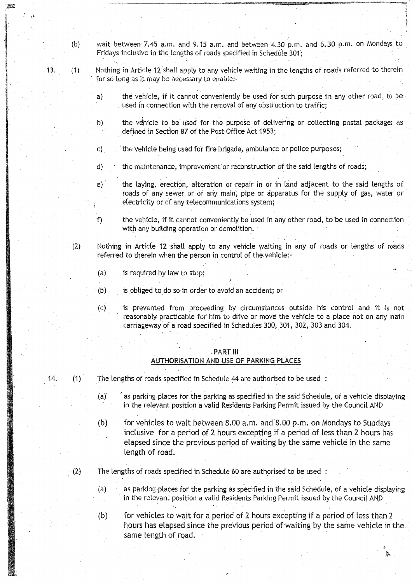(b) wait between 7.45 a.m. and 9.15 a.m. and between 4.30 p.m. and 6.30 p.m. on Mondays to Fridays-inclusive in the lengths of roads specified in Schedule 301;

\_\_•-\_"" - ~xas2r.rtesrmrz:,-.~aaes-e.~--"f.~c;~, ~rz= .

.~~-3u+• .x.-,a1-

..

.

ð.

- 13. (1) Nothing in Article 12.shall apply to any vehicle waiting in the lengths of roads referred to therein for so long as it may be necessary to enable:
	- a) the vehicle, if it cannot conveniently be used for such purpose in any other road, to be used in connection with the removal of any obstruction to traffic;
	- b) the vehicle to be used for the purpose of delivering or collecting postal packages as defined in Section 87 of the Post Office Act 1953;
	- c) the vehicle being used for fire brigade, ambulance or police purposes;
	- d) the maintenance, improvement or reconstruction of the said lengths of roads;
	- e) the laying, erection, alteration or repair in or in [and adjacent to the said lengths of roads of any sewer or of any main, pipe or apparatus for the supply of gas, water or electricity or of any telecommunications system;
	- f) the vehicle, if it cannot conveniently be used in any other road, to be used in connection with any building operation or demolition.
	- (2) Nothing in Article 12 shall apply to any vehicle waiting in any of roads or lengths of roads referred to therein when the person in control of the vehicle in any other road, to be used in connection with any building operation or demolition.<br>Nothing in Article 12 shall apply to any vehicle waiting in any of roads
		- (a) is required by law to stop;

i .

\_ ..\_.

.-\_\_ -~ -

- (b) is obliged to do so in order to avoid an accident; or
- (c) is prevented from proceeding by circumstances outside his control and it is not reasonably practicable for him. to drive or move the vehicle to a place not on any main carriageway of a road specified in Schedules 300, 301, 302, 303 and 304 .

#### PART III

#### AUTHORISATION AND USE OF PARKING PLACES

- 14.  $(1)$  The lengths of roads specified in Schedule 44 are authorised to be used:
	- . (a)' 'as parking places for the parking as specified in the said Schedule, of a vehicle displaying in the relevant position a valid Residents Parking Permit issued by the Council **AND**
	- (b) for vehicles to wait between 8 .00 a .m. and 8.00 p.m. on Mondays to Sundays inclusive for a period of 2 hours excepting if a period of less than 2 hours has elapsed since the previous period of waiting by the same vehicle in the same length of road.
	- (2) The lengths of roads specified in Schedule 60 are authorised to be used :
		- (a) as parking places for the parking as specified in the said Schedule, of a vehicle displaying in the relevant position a valid Residents Parking Permit issued by the Council AND
		- (b) for vehicles to wait for a period of 2 hours excepting if a period of less than  $2$ hours has elapsed since the previous period of waiting by the same vehicle in the. same length of road.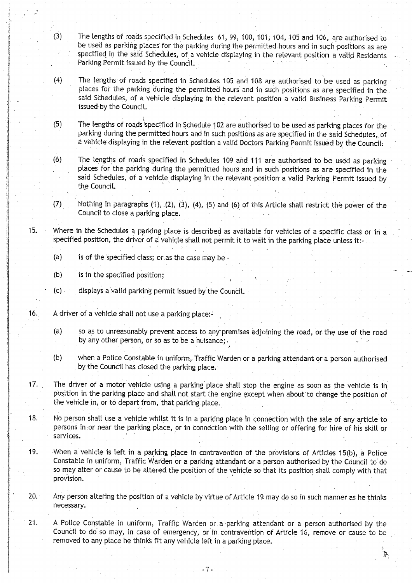- i(3} The lengths of roads specified in Schedules 61, 99, 100, 101, 104, 105 and 106, are authorised to be used as parking places for the parking during the permitted hours and in such positions as are specified in the said Schedules, of a vehicle displaying in the relevant position a valid Residents Parking Permit issued by the Council.
- (4) The lengths of roads specified in Schedules 105 and 108 are authorised to be used as parking places for the parking during the permitted hours and in such positions as are specified in the said Schedules, of a vehicle displaying in the relevant position a valid Business Parking Permit issued by the Council.
- (5) The lengths of roads specified in Schedule 102 are authorised to be used as parking places for the parking during the permitted hours and in such positions as are specified in the said Schedules,, of a vehicle displaying in the relevant position a valid Doctors Parking Permit issued by the Council.

(6) The lengths of roads 'specified in Schedules 109 and 111 are authorised to be used as parking places for the parking during the permitted hours and in such positions as are specified in the said Schedules, of a vehicle displaying in the relevant position a valid Parking Permit issued by the Council.

- (7) Nothing in paragraphs (1), (2), (3), (4), (5) and (6) of this Article shall restrict the power of the Council to close a parking place.
- 15. Where in the Schedules a parking place is described as available for vehicles of a specific class or in a specified position, the driver of a vehicle shall not permit it to wait in the parking place unless it :-
	- (a) is of the specified class; or.as the case may be -
	- (b) is in the specified position;
	- (c) displays a valid parking permit issued by the Council.
- 16. A driver of a vehicle shall not use a parking place:-
	- (a) so as to unreasonably prevent access to any' premises adjoining the road, or the use of the road by any other person, or so as to be a nuisance;
	- (b) when a Police Constable in uniform, Traffic Warden or a parking attendant or a person authorised by the Council has closed the parking place.
- 17. The driver of a motor vehicle using a parking place shall stop the engine as soon as the vehicle is in position in the parking place and shall not start the engine except when about'to change the position of the vehicle in, or to depart from, that parking place .
- 18. No person shalt use a vehicle whilst it is in a parking place in connection with the sate of any article to persons in .or near the parking place, or in connection with the setting or offering for hire of his skill or services.
- 19 . When a vehicle is left in a parking place in contravention of the provisions of Articles 15(b), a Police Constable in uniform, Traffic Warden or a parking attendant or a person authorised by the Council to" do so may alter or cause to be altered the position of the vehicle so that its position shall comply with that provision.
- 20. Any person altering the position of a vehicle by virtue of Article 19 may do so in such manner as he thinks necessary.
- 21. A Police Constable in uniform, Traffic Warden or a parking attendant or a person authorised by the Council to do so may, in case of emergency, or in contravention of Article 16, remove or cause to be removed to any place he thinks fit any vehicle left in a parking place .

 $\frac{1}{2}$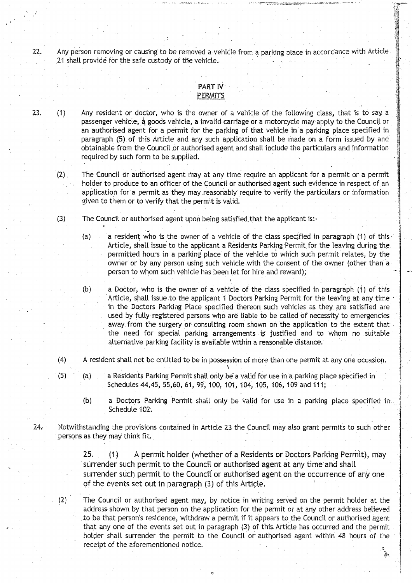22. Any person removing or causing to be removed a vehicle from a parking place in accordance with Article 21 shall provide for the safe custody of the vehicle.

#### PART IV **PERMITS**

23. (1) Any resident or doctor, who is the owner of a vehicle of the following **class,** that is to say a **passenger** vehicle, 4 goods vehicle, **a invalid. carriage** or a motorcycle may apply to the Council or **an authorised** agent for a permit for the parking of that vehicle **in'a parking** place specified in paragraph (5). of this Article and any such **application shalt be** made on a form issued by and obtainable from the Council or authorised agent and shall include the particulars and information required by such form to be supplied.

(2) The Council or authorised **agent may** at any time require an applicant for a permit or a permit holder to produce to an officer of the Council or authorised agent such evidence in respect of an application for a permit as they may reasonably require to verify the particulars or information given to them or to verify that the permit is valid.

(3) The Council or authorised agent upon being satisfied that the applicant is:-

**(a) a resident** who is the owner of a vehicle of the **class** specified in paragraph (1) of this Article, shall issue to the applicant a Residents Parking Permit for the leaving during the permitted hours in a parking place of the vehicle to which such permit relates, by the owner or by any person using such vehicle with the consent of the owner (other than a person to whom such vehicle has been let for hire and reward);

- (b) a Doctor, who is the owner of a vehicle of the class specified in **paragraph** (1) of this Article, shall issue to the applicant 1 Doctors Parking Permit for the leaving at any time in the Doctors Parking Place specified thereon such vehicles as they are satisfied are used by fully registered persons who are liable to be called of necessity to emergencies away. from the surgery **or consulting** room shown on the application to the extent that the need for **special** parking arrangements is justified and to whom no suitable alternative parking facility is available within a reasonable distance.
- (4) A resident shall not be entitled to be in possession of more than one permit at any one occasion.
- **(** <sup>5</sup>**) ' (a) a Residents** Parking Permit shall only be a valid for use in a .parking place specified in Schedules 44, 45, 55, 60, 61, 99, 100, 101, 104, 105, 106, 109 and 111;
	- (b) a Doctors Parking Permit shall only be valid for use in a parking place specified in Schedule 102.
- 24. Notwithstanding the provisions contained in Article 23 the Council may also grant permits to such other, **persons as** they may think fit.

25 . (1) A permit holder (whether of **a Residents** or Doctors Parking Permit), may surrender such permit to the Council or authorised agent at any time and shall surrender such permit to the Council or authorised agent on the occurrence of any one. of the events set out in paragraph (3) of this Article .

(2) The Council or authorised agent may, by notice in writing served on the permit holder at the address' shown by that person on the application for the permit or at any other address believed to be that person's residence, withdraw a permit if it appears to the Council or authorised agent that any one of the events set out in paragraph (3) of this. Article has occurred and the permit holder shalt surrender the permit to the Council or authorised agent within 48 hours of the receipt of the aforementioned notice. . ૽ૼ

 $\circ$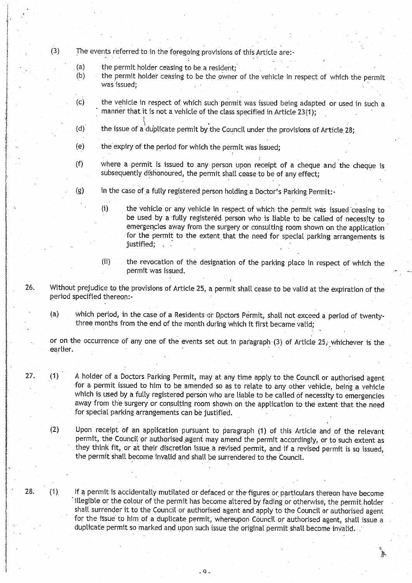- **(3) The events referred to in the foregoing provisions of this Article are :**
	- (a) the permit holder ceasing to be a resident;<br>
	(b) the permit holder ceasing to be the owner
	- **(b) the permit holder ceasing to be the owner of the vehicle in respect** of which **the permit was issued;**
	- **(c) the vehicle in respect of. which such permit was** <sup>i</sup>**ssued being adapted or used in such a manner that it is not a vehicle of the class specified in Article 23(1) ;**
- j biologija iz kontras postavlja iz kontras postavlja iz kontras postavlja iz  $\mathcal{N}$ **(d) the issue of a duplicate permit by the Council under the provisions of Article. 28,**
	- **(e) the expi**ry **of the period for which the permit was issued ;**
	- **(f) where a permit is issued to any person upon receipt of a cheque and the cheque is subsequently dishonoured** , **the permit shall cease to be of any effect;**
	- **(g) in the case of a fully registered person holding a Doctor's Parking Permit :**
		- (i) the vehicle or any vehicle in respect of which the permit was issued ceasing to **be used by a fully registered person who is** liable **to be called of necessity to** emergencies away from the surgery or consulting room shown on the application **for the permit to the extent**. **that the need for special parking arrangements is justified;**
		- **(ii) the revocation of the designation of the parking place in respect of which the permit was issued .**
	- **26. Without prejudice to the provisions of Article 25, a permit shall cease to be valid at the expiration of the period specified thereon :-**
		- **(a) which period**, **in the case of a Residents or Doctors Permit, shall not exceed a period of twentythree months from the end of the month during which it first became valid ;**

**or on the occurrence of any one of the events set out in paragraph** (**3) of Article 25,: whichever is the earlier.**

- **27. (1) A holder of a Doctors Parking Permit**, **may at any time apply to the Council or authorised agent for a permit issued to him to be amended so as to relate to any other vehicle, being a vehicle** Which **is used by a fully registered person who are** liable **to be called of necessity to emergencies away from** the surgery **or consulting room shown on the application to the extent that the .need for special parking arrangements can be justified .**
	- **(2) Upon receipt of an application pursuant to paragraph (1) of this Article and of the relevant permit**, **the Council or authorised agent may amend the permit accordingly** , **or to such extent as they think fit, or at their discretion issue a revised permit, and if a revised permit is so issued, the permit shall become invalid and shall be surrendered to the Council.**
- 28. (1) If a permit is accidentally mutilated or defaced or the figures or particulars thereon have become illegible or the colour of the permit has become altered by fading or otherwise, the permit holder **shall surrender it to the Council or authorised agent and apply to the Council or authorised agent for the issue to him of a duplicate permit, whereupon Council or authorised agent, shall issue a duplicate permit so marked and upon such issue the original** permit **shall become invalid** .

 $-9-$ 

 $\mathbb{A}$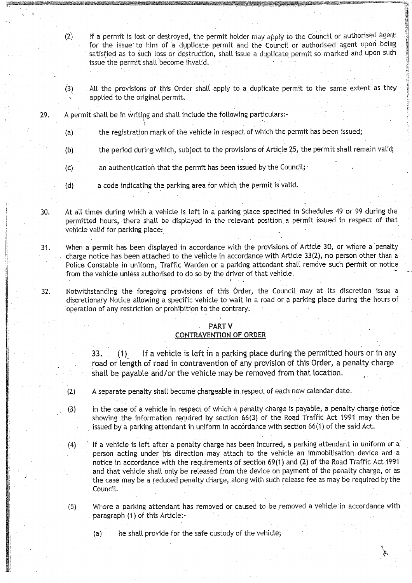$(2)$  If a permit is lost or destroyed, the permit holder may apply to the Council or authorised agent for the issue' to him of a duplicate. permit and the Council or authorised agent upon being satisfied as to such loss or destruction, shall issue a duplicate permit so marked and upon such. issue the permit shall become ihvalid.

~ : results and the contract of the contract of the contract of the contract of the contract of the contract o

. a \_ - y;tc~:.ti.~s~:m..,,,., .~u.~,.F

 $\lambda$ 

- (3) Alt the provisions of this Order shalt apply to a duplicate permit to the same extent as they applied to the original permit..
- 29. A permit shall be in writing and shall include the following particulars:

.`~-..:k3^~x'+•~wr^-~ '

a~a'~,C :~~'~'i'Sty.,^'~s.-5'<~dd~''..t,m' "

- (a) the registration mark of the vehicle in respect of which the permit has been issued;
- (b) the period during which, subject to the provisions of Article 25, the permit shall remain valid;
- (c) an authentication that the permit has been issued by the Council;
- (d) a code indicating the parking area for which the permit is valid.
- $30.$  At all times during which a vehicle is left in a parking place specified in Schedules 49 or 99 during the permitted hours, there shall be displayed in the relevant position a permit issued in respect of that vehicle valid for parking place.
- **31.** When a permit has been displayed in accordance with the provisions of Article 30, or where a penalty charge notice has been attached to the vehicle in accordance with Article 33(2), no person other than a Police Constable in uniform, Traffic Warden or a parking attendant shall remove such permit or notice from the vehicle unless authorised to do so. by the driver of that vehicle .
- 32. Notwithstanding the foregoing provisions of this Order, the Council may at its discretion issue a discretionary Notice allowing a specific vehicle to wait in a road or a parking place during the hours of operation of any restriction or prohibition to the contrary .

# PART V

CONTRAVENTION OF ORDER

 $33.$  (1) If a vehicle is left in a parking place during the permitted hours or in any road or length of road in contravention of any provision of this Order, a penalty charge shall be payable and/or the vehicle may be removed from that location.

(2) A separate penalty shall become chargeable in respect of each new calendar date .

- (3) In the case of a vehicle in respect of which a penalty charge is payable, a penalty charge notice showing the information required by section 66(3) of the Road Traffic Act 1991 may then be issued by a parking attendant in uniform in accordance with section 66(1) of the said Act .
- (4) If a vehicle is left after a penalty charge has been incurred, a parking attendant in uniform or a person acting under his direction may attach to the vehicle an immobilisation device and a notice in accordance with the requirements of section 69(1) and (2) of the Road Traffic Act 1991 and that vehicle shalt only be released from the device on payment of the penalty charge, or as the case may be a reduced penalty charge, along with such release fee as may be required by the Council.
- (5) Where a parking attendant has removed or caused to be,removed a vehicte'in accordance with paragraph (1) of this Article:

(a) he shall provide for the safe custody of the vehicle;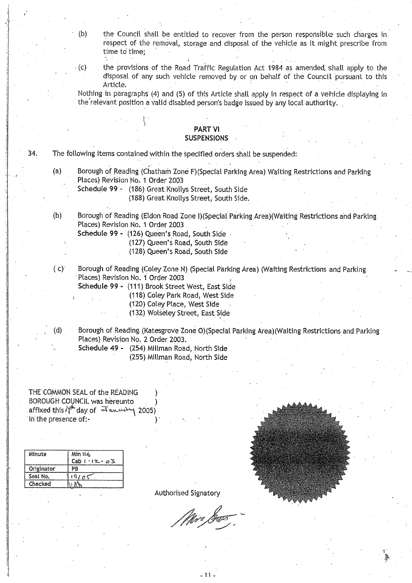- **(b) the Council** shall be **entitled to recover from the person responsible such charges, in . respect of the removal**, **storage and disposal of the vehicle as it might prescribe from time to** time,
- 

**(c) the provisions of the Road** Traffic. **Regulation Act 1984 as amended, shalt apply to the disposal of any such vehicle removed by or on behalf of the Council pursuant to this Article .**

**Nothing in paragraphs (4) and** (**5) of this Article shall apply in respect of a vehicle displaying in the relevant position a valid disabled person's badge issued by any local authority .**

#### **PART Vi SUSPENSIONS**

**34. The following items contained within the specified orders shall be suspended :**

1' .

**(a) Borough of Reading** (**Chatham Zone F**)(**Special Parking Area** ) **Waiting Restrictions and Parking** • .r **Places) Revision No** . **1 Order 2003**

**Schedule 99** (**186) Great Knollys Street** , **South Side**

(**188) Great Knollys Street**, **South Side.**

**(b) Borough of Reading** (**Eldon Road Zone O**(**Special, Parking Area)** (**Waiting Rest**ri **ctions and Parking Places) Revision No** . I **Order 2003**

**Schedule 99 - (126** ) **Queen's Road, South Side**

**(127) Queen's Road, South Side**

**(128) Queen's Road, South Sid e**

**( c)' Borough of Reading** (**Coley Zone N) (Special Parking Area) (Waiting Restrictions and Parking Places** ) **Revision No** . **1 Order 2003**

**Schedule 99** - (**111) Brook Street West, East Side**

**(118) Coley Park Road**, **West Side**

**(120) Coley Place** , **West Side**

**(132) Wotseley Street**, **East Side**

**(d) Borough of Reading**. (**Katesgrove Zone 0)(Special Parking Area**)(**Waiting Rest**ri**ctions and-Parking Places**) **Revision No**. **2 Order 2003.**

**Schedule 49** ( **254) Millman Road, North Side (255) Millman Road, North Side**

THE COMMON **SEAL of the READIN G BOROUGH COUNCIL was hereunto** affixed this i<sup>nt</sup> day of  $\pi$  and  $\pi$  2005)<br>in the presence of: **in the presence of:**<br> **in the presence of:**<br> **in the presence of:**<br> **iii** the presence of:

| Minute     | Min 26<br>$Cab$ $(12 - a3)$ |
|------------|-----------------------------|
| Originator | PB                          |
| Seal No.   | 19/05                       |
| Checked    |                             |



**Authorised Signatory**

Nira Jaio

-11-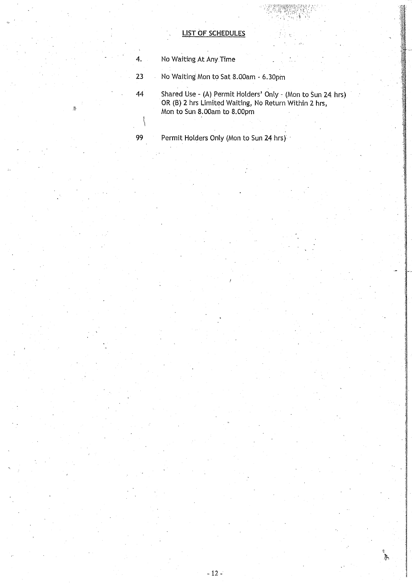# LIST OF **SCHEDULES**

- 4. No Waiting At Any Time
- 23 No Waiting Mon to Sat **8.**0**0am 6.30pm**
- 44 Shared Use (A) **Permit Holders**' Only (Mon to Sun 24 hrs) **OR (B) 2 hrs Limited** Waiting, **No Return** Within 2 hrs , **Mon to Sun 8.OOam to 8 .00pm**  $\left\{ \right\}$
- **99 Permit** Holders Only (**Mon to Sun** 24 hrs)'

溪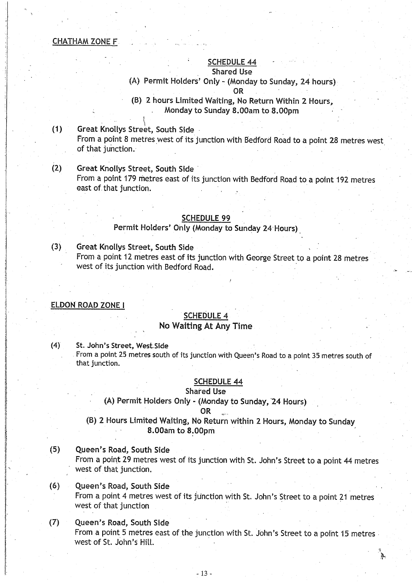#### CHATHAM ZONE F .

#### SCHEDULE 44 **Shared Use**

#### (A) Permit Holders' Only - (Monday to Sunday, 24 hours) **OR**

# **(B) 2 hours Limited Waiting, No Return Within 2 Hours, Monday to Sunday 8 .00am to 8.00p m**

 $\mathbf{f}$  , and the contribution of the contribution of the contribution of the contribution of the contribution of the contribution of the contribution of the contribution of the contribution of the contribution of the co

### **(1) Great Knollys Street, South Sid e** From a point 8 metres west of its junction with Bedford Road to a point 28 metres west of that junction .

### **(2) Great Knollys Street, South Sid e**

From a point 179 metres east of its junction with Bedford Road to a point 192 metres east of. that junction.

#### **SCHEDULE 99**

#### **Permit Holders' Only (Monday to Sunday 24 Hours)**

**(3) Great Knollys Street**, **South Side**

From a point 12 metres east of its junction with George Street to a point 28 metres west of its junction with Bedford Road.

#### **ELDON ROAD ZONE I**

# **SCHEDULE 4**

# **No Waiting** At Any Time

**(4) St. John** '**s Street, West\_Side**

From a point 25 metres south of its junction with Queen's Road to a point 35 metres south of that junction.

#### SCHEDULE 44

### **Shared Use**

**(A) Permit Holders Only - (Monday to Sunday, 24 Hours)** 

#### **0R**

- **(B) 2 Hours Limited Waiting**, **No Return within 2 Hours, Monday to Sunday 8.00am to 8.00p m**
- **(5) Queen's Road**, **South Side**

From a point 29 metres west of its junction with St. John's Street to a point 44 metres west of that junction.

- **(6) Queen's Road**, **South Side** From a point 4 metres west of its junction with St. John's Street to a point 21 metres west of that junction
- **(7) Queen's Road, South Side •** From a point 5 metres east of the junction with St. John's Street to a point 15 metres<br>west of St. John's Hill.<br>-13 west of St. John's Hill.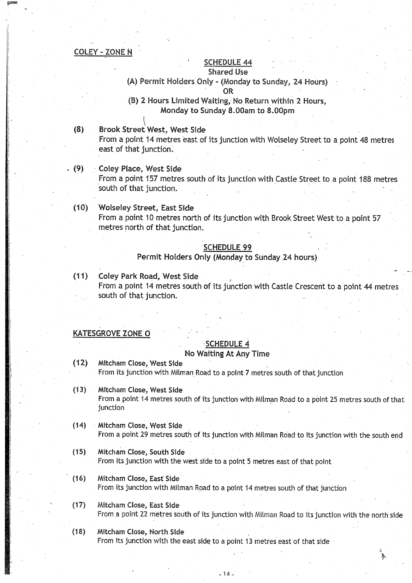#### COLEY - ZONE N

### SCHEDULE 44

### **Shared** Use

#### (A) Permit Holders Only - (Monday to Sunday, 24 Hours) OR

#### **(B) 2 Hours Limited Waiting, No Return within 2 Hours , Monday to Sunday 8.00am to 8 .00pm**

# **(8) Brook Street**. West, West Side From a point 14 metres east of its junction with Wolseley Street to a point 48 metres **east** of that junction :

- (9) Coley Place, West Side From a point 157 metres south of its junction with Castle Street to a point 188 metres south of that junction.
	- (10) Wolseley Street, East Side From a point 10 metres north of its junction with Brook Street West to a point 57 metres north of that junction.

#### **SCHEDULE 9 9**

Permit Holders Only (Monday to Sunday 24 hours)

- **(11) Coley Park** <sup>R</sup>**oad, West Side** From a point 14 metres south of its junction with Castle Crescent to a point 44 metres south of that junction.
- KATESGROVE ZONE O

#### SCHEDULE 4

#### **No Waiting** At Any Time

- **(12) Mitcham Close, West Side** From its junction with Milman Road to a point 7 metres south of that junction
- (13) Mitcham Close, West Side From a point 14 metres south of its junction with Milman Road to a point 25 metres south of that junction
- (14) Mitcham Close, **West Si**d**e** From a point 29 metres south of its junction with Milman Road to its junction with the south end
- **(15)** Mitcham Close, South Side From its junction with the west side to a point 5 metres east of that point
- **(16) Mitcham Close** , **East Side** From its junction with Mitman Road to a point 14 metres south of that junction
- (17) Mitcham Close, East Side From a point 22 metres south of its junction with Milman Road to its junction with the north side

 $-14$ 

(18) Mitcham Close, North Side From its junction with the east side to a point 13 metres east of that side